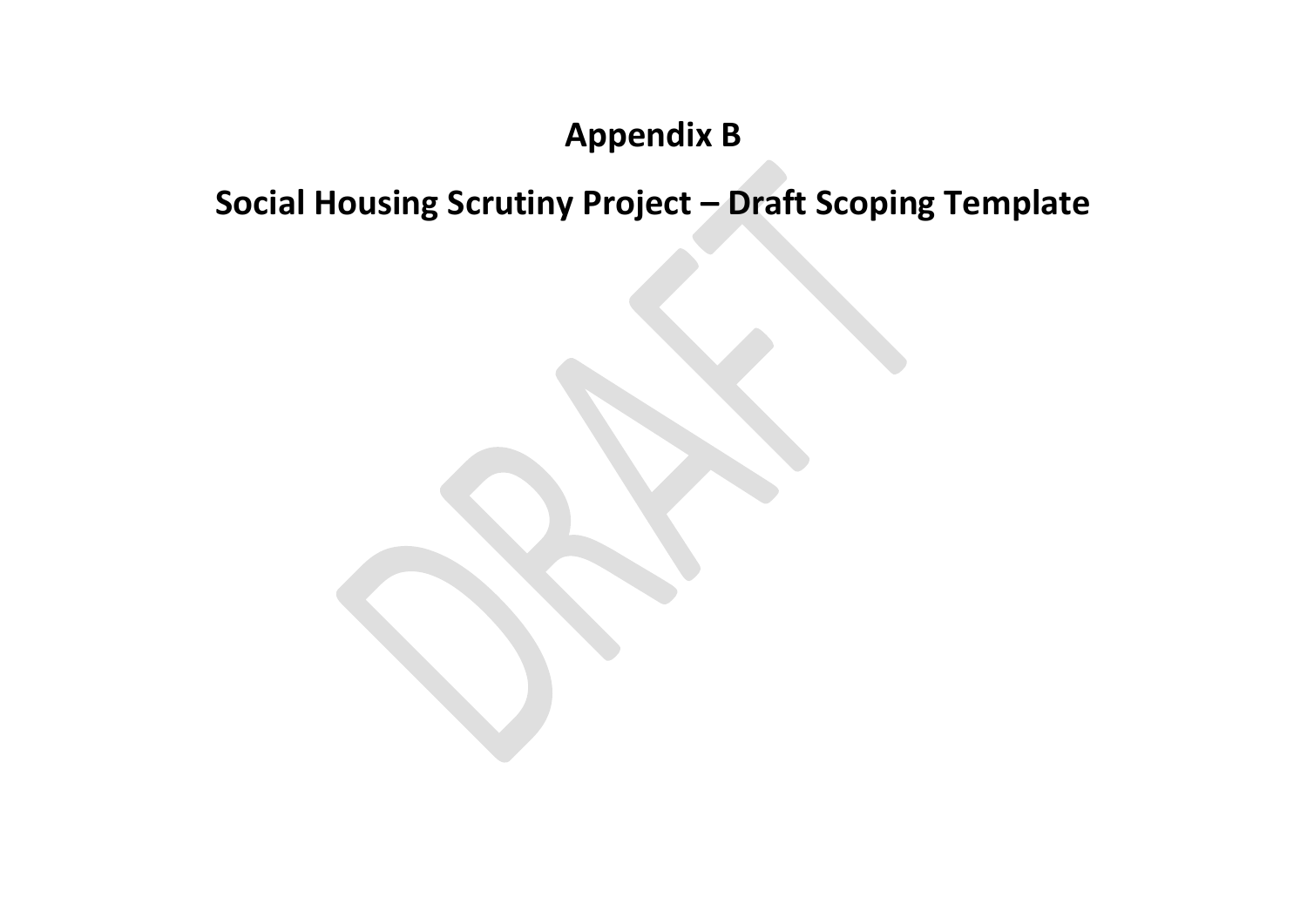## **Appendix B**

## **Social Housing Scrutiny Project – Draft Scoping Template**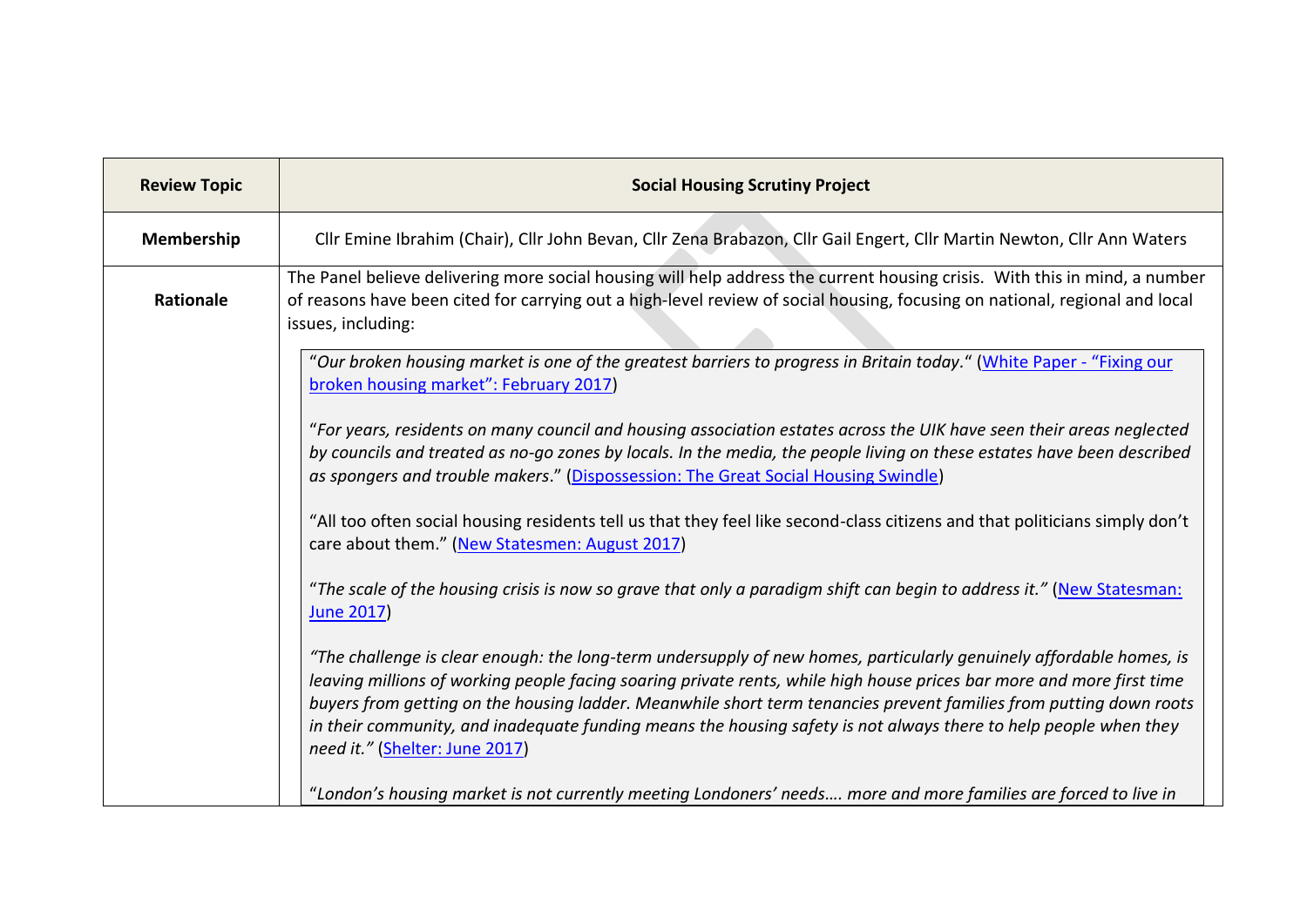| <b>Review Topic</b> | <b>Social Housing Scrutiny Project</b>                                                                                                                                                                                                                                                                                                                                                                                                                                                                                   |
|---------------------|--------------------------------------------------------------------------------------------------------------------------------------------------------------------------------------------------------------------------------------------------------------------------------------------------------------------------------------------------------------------------------------------------------------------------------------------------------------------------------------------------------------------------|
| Membership          | Cllr Emine Ibrahim (Chair), Cllr John Bevan, Cllr Zena Brabazon, Cllr Gail Engert, Cllr Martin Newton, Cllr Ann Waters                                                                                                                                                                                                                                                                                                                                                                                                   |
| <b>Rationale</b>    | The Panel believe delivering more social housing will help address the current housing crisis. With this in mind, a number<br>of reasons have been cited for carrying out a high-level review of social housing, focusing on national, regional and local<br>issues, including:                                                                                                                                                                                                                                          |
|                     | "Our broken housing market is one of the greatest barriers to progress in Britain today." (White Paper - "Fixing our<br>broken housing market": February 2017)                                                                                                                                                                                                                                                                                                                                                           |
|                     | "For years, residents on many council and housing association estates across the UIK have seen their areas neglected<br>by councils and treated as no-go zones by locals. In the media, the people living on these estates have been described<br>as spongers and trouble makers." (Dispossession: The Great Social Housing Swindle)                                                                                                                                                                                     |
|                     | "All too often social housing residents tell us that they feel like second-class citizens and that politicians simply don't<br>care about them." (New Statesmen: August 2017)                                                                                                                                                                                                                                                                                                                                            |
|                     | "The scale of the housing crisis is now so grave that only a paradigm shift can begin to address it." (New Statesman:<br><b>June 2017</b>                                                                                                                                                                                                                                                                                                                                                                                |
|                     | "The challenge is clear enough: the long-term undersupply of new homes, particularly genuinely affordable homes, is<br>leaving millions of working people facing soaring private rents, while high house prices bar more and more first time<br>buyers from getting on the housing ladder. Meanwhile short term tenancies prevent families from putting down roots<br>in their community, and inadequate funding means the housing safety is not always there to help people when they<br>need it." (Shelter: June 2017) |
|                     | "London's housing market is not currently meeting Londoners' needs more and more families are forced to live in                                                                                                                                                                                                                                                                                                                                                                                                          |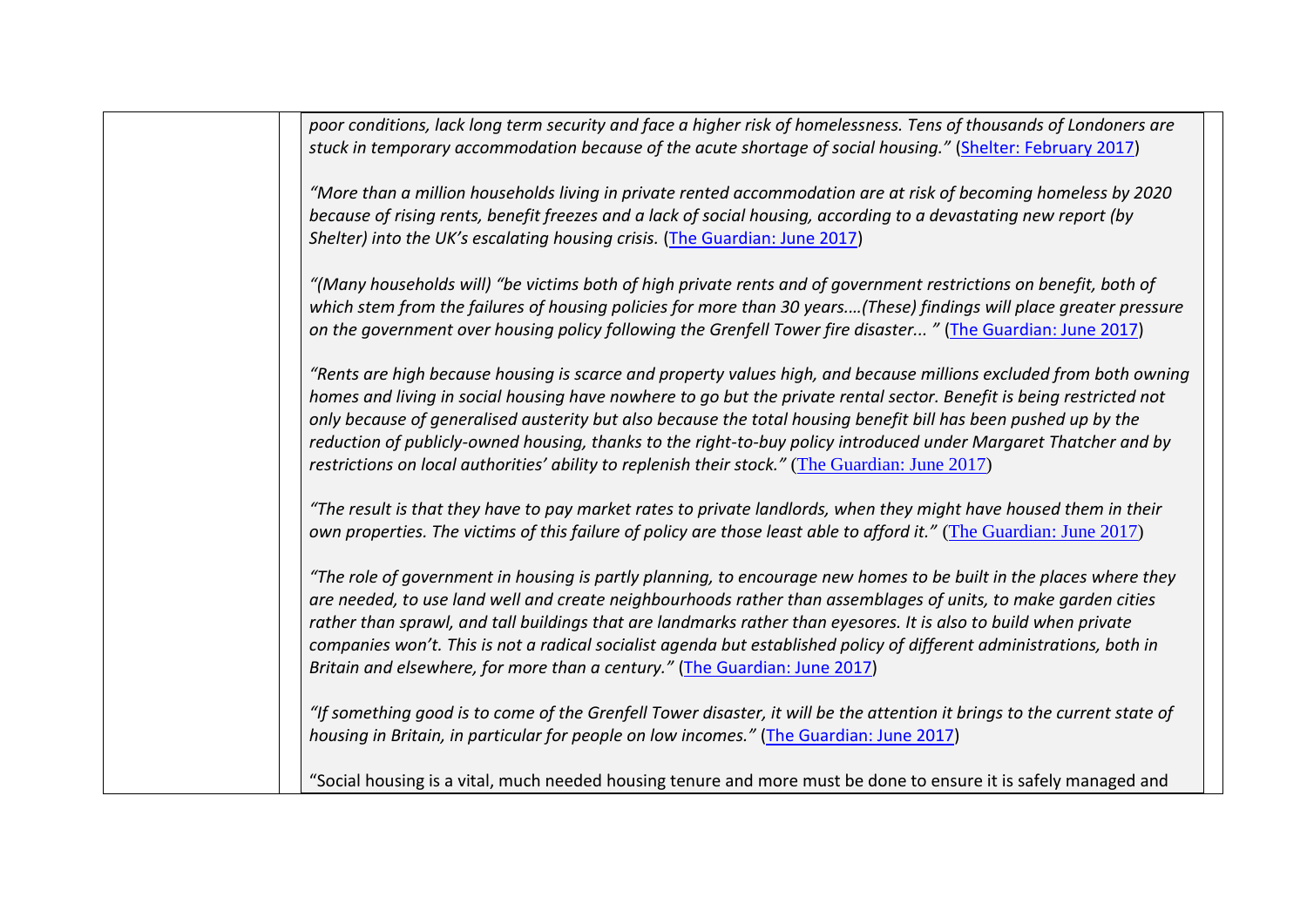| poor conditions, lack long term security and face a higher risk of homelessness. Tens of thousands of Londoners are                                                                                                                 |
|-------------------------------------------------------------------------------------------------------------------------------------------------------------------------------------------------------------------------------------|
| stuck in temporary accommodation because of the acute shortage of social housing." (Shelter: February 2017)                                                                                                                         |
|                                                                                                                                                                                                                                     |
| "More than a million households living in private rented accommodation are at risk of becoming homeless by 2020                                                                                                                     |
| because of rising rents, benefit freezes and a lack of social housing, according to a devastating new report (by                                                                                                                    |
| Shelter) into the UK's escalating housing crisis. (The Guardian: June 2017)                                                                                                                                                         |
| "(Many households will) "be victims both of high private rents and of government restrictions on benefit, both of                                                                                                                   |
| which stem from the failures of housing policies for more than 30 years(These) findings will place greater pressure                                                                                                                 |
| on the government over housing policy following the Grenfell Tower fire disaster " (The Guardian: June 2017)                                                                                                                        |
|                                                                                                                                                                                                                                     |
| "Rents are high because housing is scarce and property values high, and because millions excluded from both owning                                                                                                                  |
| homes and living in social housing have nowhere to go but the private rental sector. Benefit is being restricted not                                                                                                                |
| only because of generalised austerity but also because the total housing benefit bill has been pushed up by the<br>reduction of publicly-owned housing, thanks to the right-to-buy policy introduced under Margaret Thatcher and by |
| restrictions on local authorities' ability to replenish their stock." (The Guardian: June 2017)                                                                                                                                     |
|                                                                                                                                                                                                                                     |
| "The result is that they have to pay market rates to private landlords, when they might have housed them in their                                                                                                                   |
| own properties. The victims of this failure of policy are those least able to afford it." (The Guardian: June 2017)                                                                                                                 |
|                                                                                                                                                                                                                                     |
| "The role of government in housing is partly planning, to encourage new homes to be built in the places where they                                                                                                                  |
| are needed, to use land well and create neighbourhoods rather than assemblages of units, to make garden cities<br>rather than sprawl, and tall buildings that are landmarks rather than eyesores. It is also to build when private  |
| companies won't. This is not a radical socialist agenda but established policy of different administrations, both in                                                                                                                |
| Britain and elsewhere, for more than a century." (The Guardian: June 2017)                                                                                                                                                          |
|                                                                                                                                                                                                                                     |
| "If something good is to come of the Grenfell Tower disaster, it will be the attention it brings to the current state of                                                                                                            |
| housing in Britain, in particular for people on low incomes." (The Guardian: June 2017)                                                                                                                                             |
|                                                                                                                                                                                                                                     |
| "Social housing is a vital, much needed housing tenure and more must be done to ensure it is safely managed and                                                                                                                     |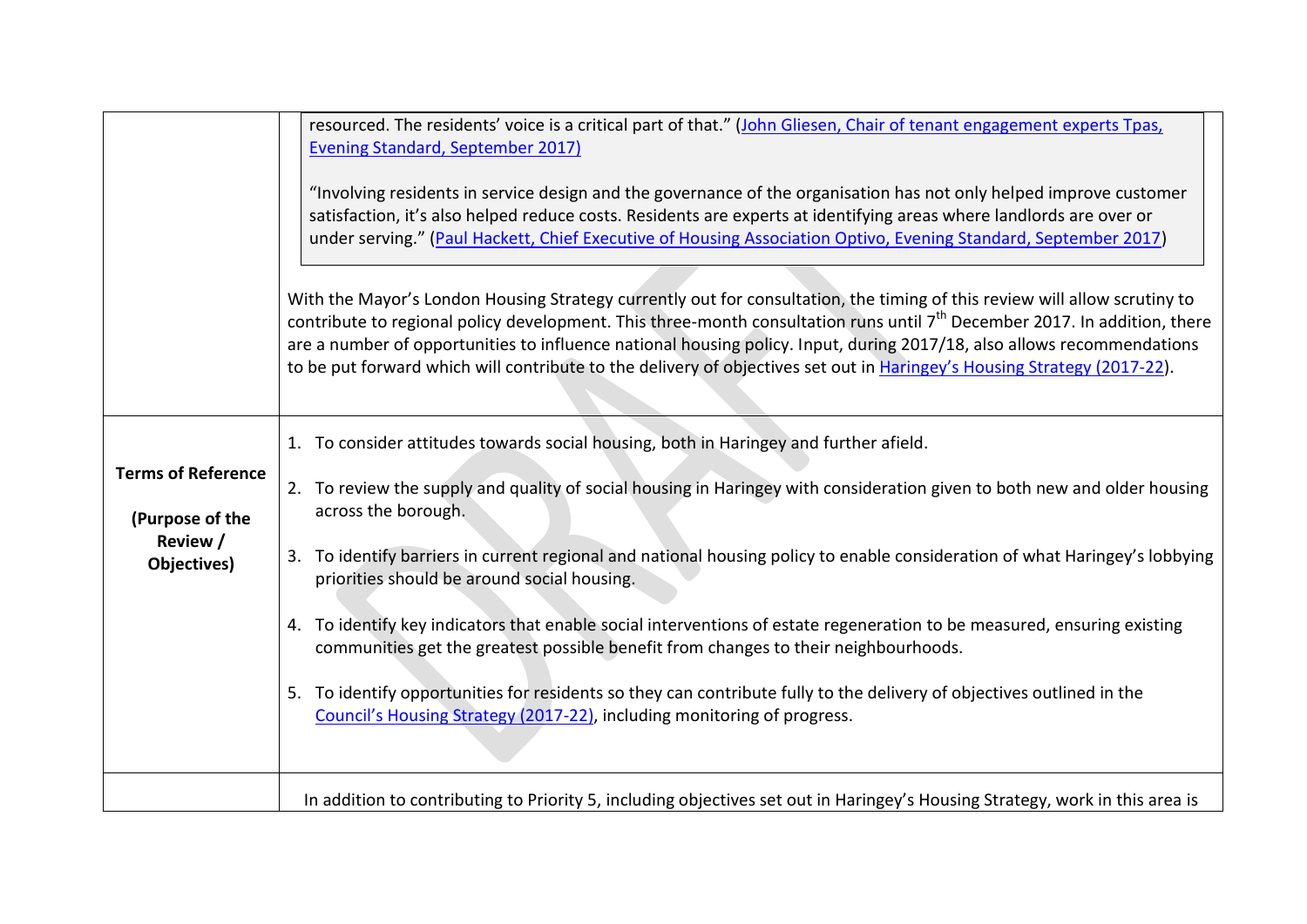|                                                                         | resourced. The residents' voice is a critical part of that." (John Gliesen, Chair of tenant engagement experts Tpas,<br><b>Evening Standard, September 2017)</b><br>"Involving residents in service design and the governance of the organisation has not only helped improve customer<br>satisfaction, it's also helped reduce costs. Residents are experts at identifying areas where landlords are over or<br>under serving." (Paul Hackett, Chief Executive of Housing Association Optivo, Evening Standard, September 2017)<br>With the Mayor's London Housing Strategy currently out for consultation, the timing of this review will allow scrutiny to<br>contribute to regional policy development. This three-month consultation runs until 7 <sup>th</sup> December 2017. In addition, there<br>are a number of opportunities to influence national housing policy. Input, during 2017/18, also allows recommendations<br>to be put forward which will contribute to the delivery of objectives set out in Haringey's Housing Strategy (2017-22). |
|-------------------------------------------------------------------------|-------------------------------------------------------------------------------------------------------------------------------------------------------------------------------------------------------------------------------------------------------------------------------------------------------------------------------------------------------------------------------------------------------------------------------------------------------------------------------------------------------------------------------------------------------------------------------------------------------------------------------------------------------------------------------------------------------------------------------------------------------------------------------------------------------------------------------------------------------------------------------------------------------------------------------------------------------------------------------------------------------------------------------------------------------------|
| <b>Terms of Reference</b><br>(Purpose of the<br>Review /<br>Objectives) | 1. To consider attitudes towards social housing, both in Haringey and further afield.<br>2. To review the supply and quality of social housing in Haringey with consideration given to both new and older housing<br>across the borough.<br>To identify barriers in current regional and national housing policy to enable consideration of what Haringey's lobbying<br>3.<br>priorities should be around social housing.<br>4. To identify key indicators that enable social interventions of estate regeneration to be measured, ensuring existing<br>communities get the greatest possible benefit from changes to their neighbourhoods.<br>To identify opportunities for residents so they can contribute fully to the delivery of objectives outlined in the<br>Council's Housing Strategy (2017-22), including monitoring of progress.                                                                                                                                                                                                                |
|                                                                         | In addition to contributing to Priority 5, including objectives set out in Haringey's Housing Strategy, work in this area is                                                                                                                                                                                                                                                                                                                                                                                                                                                                                                                                                                                                                                                                                                                                                                                                                                                                                                                                |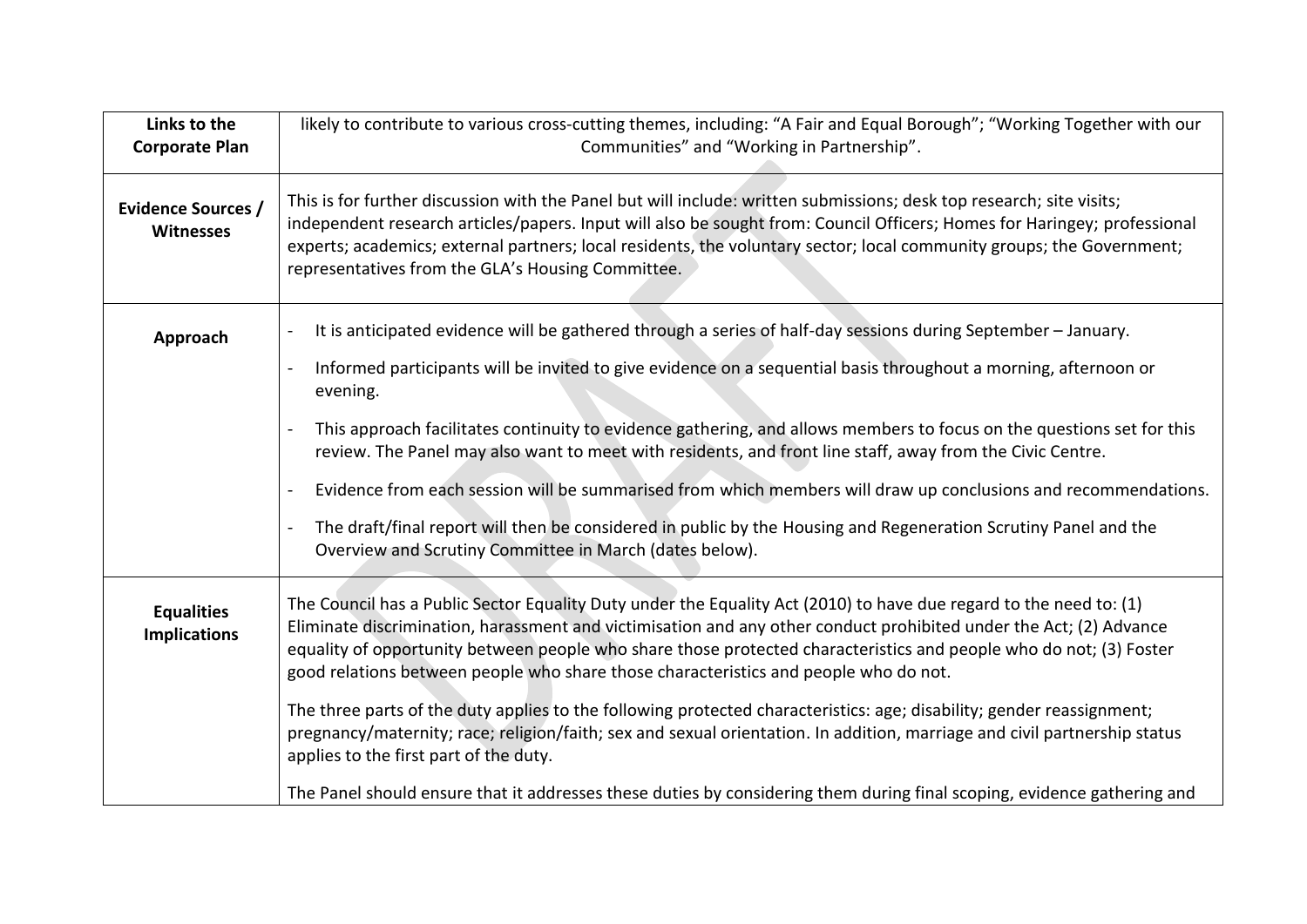| Links to the<br><b>Corporate Plan</b>         | likely to contribute to various cross-cutting themes, including: "A Fair and Equal Borough"; "Working Together with our<br>Communities" and "Working in Partnership".                                                                                                                                                                                                                                                                                                                                                                                                                                                                                                                                                                                                                                                                                                             |
|-----------------------------------------------|-----------------------------------------------------------------------------------------------------------------------------------------------------------------------------------------------------------------------------------------------------------------------------------------------------------------------------------------------------------------------------------------------------------------------------------------------------------------------------------------------------------------------------------------------------------------------------------------------------------------------------------------------------------------------------------------------------------------------------------------------------------------------------------------------------------------------------------------------------------------------------------|
| <b>Evidence Sources /</b><br><b>Witnesses</b> | This is for further discussion with the Panel but will include: written submissions; desk top research; site visits;<br>independent research articles/papers. Input will also be sought from: Council Officers; Homes for Haringey; professional<br>experts; academics; external partners; local residents, the voluntary sector; local community groups; the Government;<br>representatives from the GLA's Housing Committee.                                                                                                                                                                                                                                                                                                                                                                                                                                                    |
| Approach                                      | It is anticipated evidence will be gathered through a series of half-day sessions during September - January.<br>Informed participants will be invited to give evidence on a sequential basis throughout a morning, afternoon or<br>evening.<br>This approach facilitates continuity to evidence gathering, and allows members to focus on the questions set for this<br>review. The Panel may also want to meet with residents, and front line staff, away from the Civic Centre.<br>Evidence from each session will be summarised from which members will draw up conclusions and recommendations.<br>The draft/final report will then be considered in public by the Housing and Regeneration Scrutiny Panel and the<br>Overview and Scrutiny Committee in March (dates below).                                                                                                |
| <b>Equalities</b><br><b>Implications</b>      | The Council has a Public Sector Equality Duty under the Equality Act (2010) to have due regard to the need to: (1)<br>Eliminate discrimination, harassment and victimisation and any other conduct prohibited under the Act; (2) Advance<br>equality of opportunity between people who share those protected characteristics and people who do not; (3) Foster<br>good relations between people who share those characteristics and people who do not.<br>The three parts of the duty applies to the following protected characteristics: age; disability; gender reassignment;<br>pregnancy/maternity; race; religion/faith; sex and sexual orientation. In addition, marriage and civil partnership status<br>applies to the first part of the duty.<br>The Panel should ensure that it addresses these duties by considering them during final scoping, evidence gathering and |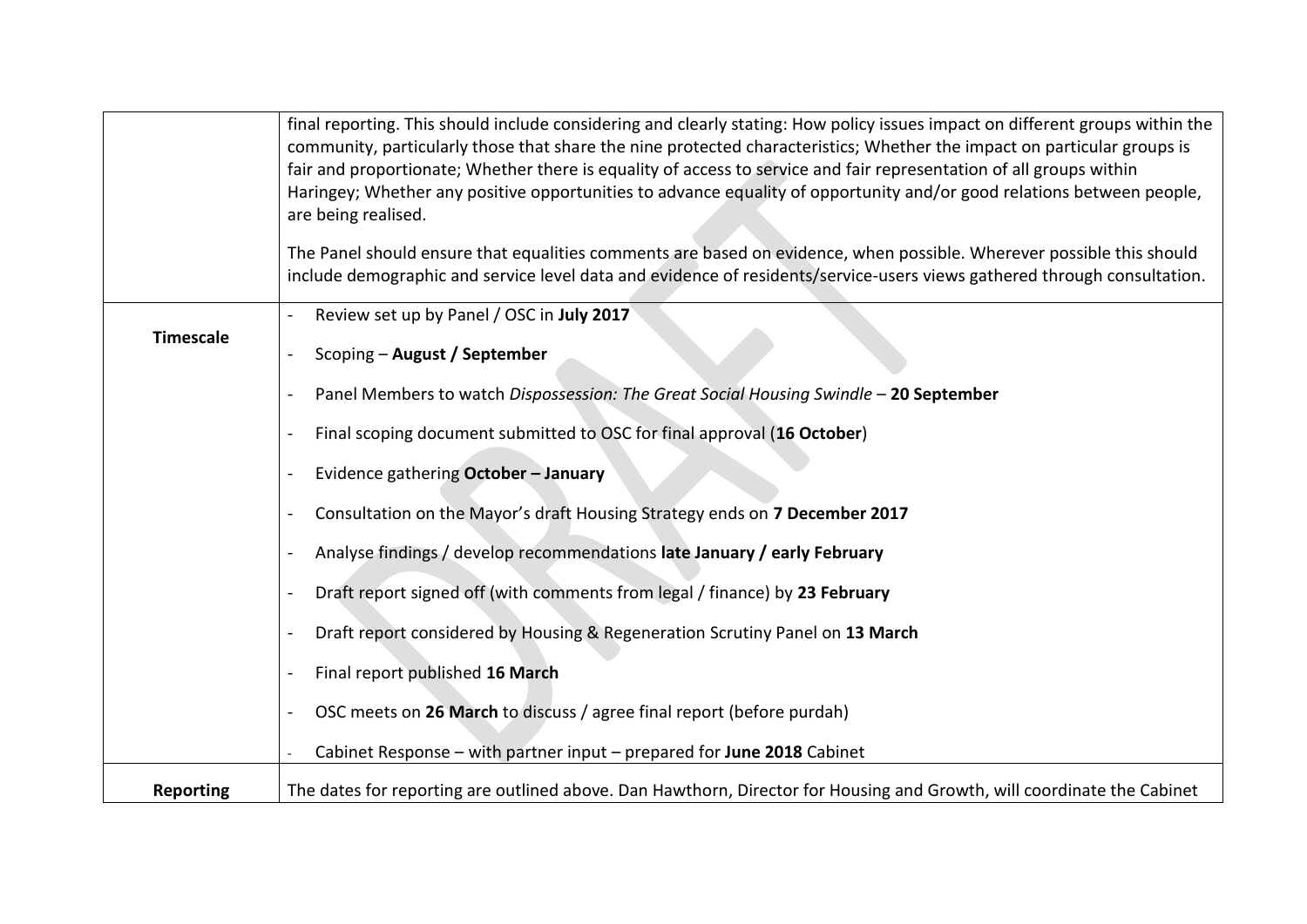|                  | final reporting. This should include considering and clearly stating: How policy issues impact on different groups within the<br>community, particularly those that share the nine protected characteristics; Whether the impact on particular groups is<br>fair and proportionate; Whether there is equality of access to service and fair representation of all groups within<br>Haringey; Whether any positive opportunities to advance equality of opportunity and/or good relations between people,<br>are being realised.<br>The Panel should ensure that equalities comments are based on evidence, when possible. Wherever possible this should<br>include demographic and service level data and evidence of residents/service-users views gathered through consultation. |
|------------------|------------------------------------------------------------------------------------------------------------------------------------------------------------------------------------------------------------------------------------------------------------------------------------------------------------------------------------------------------------------------------------------------------------------------------------------------------------------------------------------------------------------------------------------------------------------------------------------------------------------------------------------------------------------------------------------------------------------------------------------------------------------------------------|
| <b>Timescale</b> | Review set up by Panel / OSC in July 2017                                                                                                                                                                                                                                                                                                                                                                                                                                                                                                                                                                                                                                                                                                                                          |
|                  | Scoping - August / September                                                                                                                                                                                                                                                                                                                                                                                                                                                                                                                                                                                                                                                                                                                                                       |
|                  | Panel Members to watch Dispossession: The Great Social Housing Swindle - 20 September                                                                                                                                                                                                                                                                                                                                                                                                                                                                                                                                                                                                                                                                                              |
|                  | Final scoping document submitted to OSC for final approval (16 October)                                                                                                                                                                                                                                                                                                                                                                                                                                                                                                                                                                                                                                                                                                            |
|                  | Evidence gathering October - January                                                                                                                                                                                                                                                                                                                                                                                                                                                                                                                                                                                                                                                                                                                                               |
|                  | Consultation on the Mayor's draft Housing Strategy ends on 7 December 2017                                                                                                                                                                                                                                                                                                                                                                                                                                                                                                                                                                                                                                                                                                         |
|                  | Analyse findings / develop recommendations late January / early February                                                                                                                                                                                                                                                                                                                                                                                                                                                                                                                                                                                                                                                                                                           |
|                  | Draft report signed off (with comments from legal / finance) by 23 February                                                                                                                                                                                                                                                                                                                                                                                                                                                                                                                                                                                                                                                                                                        |
|                  | Draft report considered by Housing & Regeneration Scrutiny Panel on 13 March                                                                                                                                                                                                                                                                                                                                                                                                                                                                                                                                                                                                                                                                                                       |
|                  | Final report published 16 March                                                                                                                                                                                                                                                                                                                                                                                                                                                                                                                                                                                                                                                                                                                                                    |
|                  | OSC meets on 26 March to discuss / agree final report (before purdah)                                                                                                                                                                                                                                                                                                                                                                                                                                                                                                                                                                                                                                                                                                              |
|                  | Cabinet Response - with partner input - prepared for June 2018 Cabinet                                                                                                                                                                                                                                                                                                                                                                                                                                                                                                                                                                                                                                                                                                             |
| <b>Reporting</b> | The dates for reporting are outlined above. Dan Hawthorn, Director for Housing and Growth, will coordinate the Cabinet                                                                                                                                                                                                                                                                                                                                                                                                                                                                                                                                                                                                                                                             |